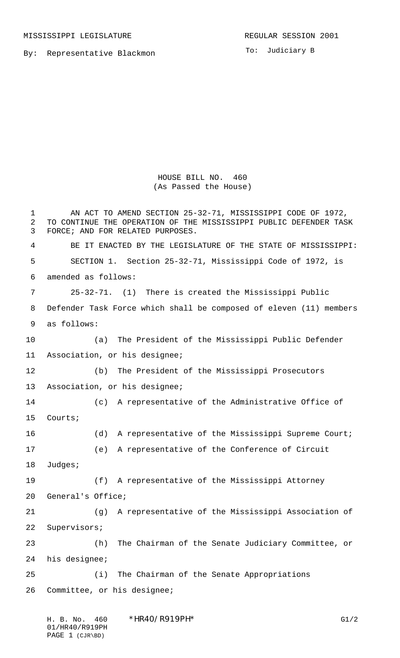MISSISSIPPI LEGISLATURE **REGULAR SESSION 2001** 

By: Representative Blackmon

To: Judiciary B

HOUSE BILL NO. 460 (As Passed the House)

 AN ACT TO AMEND SECTION 25-32-71, MISSISSIPPI CODE OF 1972, TO CONTINUE THE OPERATION OF THE MISSISSIPPI PUBLIC DEFENDER TASK FORCE; AND FOR RELATED PURPOSES. BE IT ENACTED BY THE LEGISLATURE OF THE STATE OF MISSISSIPPI: SECTION 1. Section 25-32-71, Mississippi Code of 1972, is amended as follows: 25-32-71. (1) There is created the Mississippi Public Defender Task Force which shall be composed of eleven (11) members as follows: (a) The President of the Mississippi Public Defender Association, or his designee; (b) The President of the Mississippi Prosecutors Association, or his designee; (c) A representative of the Administrative Office of Courts; 16 (d) A representative of the Mississippi Supreme Court; (e) A representative of the Conference of Circuit Judges; (f) A representative of the Mississippi Attorney General's Office; (g) A representative of the Mississippi Association of Supervisors; (h) The Chairman of the Senate Judiciary Committee, or his designee; (i) The Chairman of the Senate Appropriations Committee, or his designee;

| H. B. No. 460   | $*$ HR40/R919PH $*$ | G1/2 |
|-----------------|---------------------|------|
| 01/HR40/R919PH  |                     |      |
| PAGE 1 (CJR\BD) |                     |      |